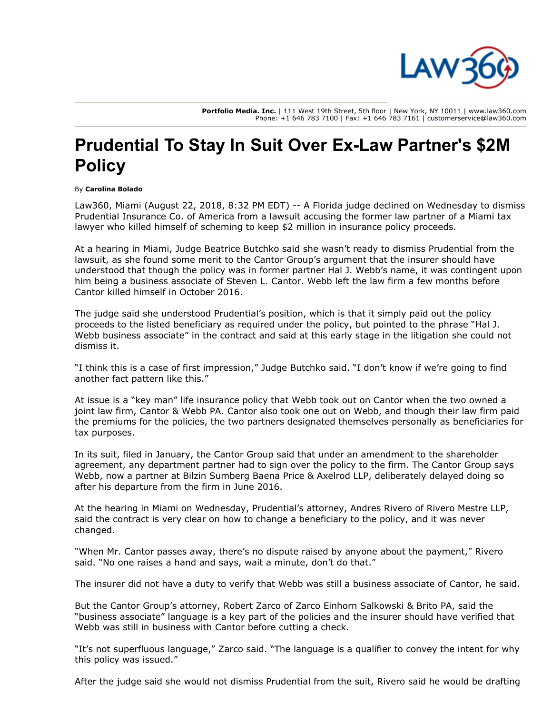

**Portfolio Media. Inc.** | 111 West 19th Street, 5th floor | New York, NY 10011 | www.law360.com Phone: +1 646 783 7100 | Fax: +1 646 783 7161 | customerservice@law360.com

## **Prudential To Stay In Suit Over Ex-Law Partner's \$2M Policy**

## By **Carolina Bolado**

Law360, Miami (August 22, 2018, 8:32 PM EDT) -- A Florida judge declined on Wednesday to dismiss [Prudential Insurance Co.](https://www.law360.com/companies/prudential-financial-inc) of America from a lawsuit accusing the former law partner of a Miami tax lawyer who killed himself of scheming to keep \$2 million in insurance policy proceeds.

At a hearing in Miami, Judge Beatrice Butchko said she wasn't ready to dismiss Prudential from the lawsuit, as she found some merit to the Cantor Group's argument that the insurer should have understood that though the policy was in former partner Hal J. Webb's name, it was contingent upon him being a business associate of Steven L. Cantor. Webb left the law firm a few months before Cantor killed himself in October 2016.

The judge said she understood Prudential's position, which is that it simply paid out the policy proceeds to the listed beneficiary as required under the policy, but pointed to the phrase "Hal J. Webb business associate" in the contract and said at this early stage in the litigation she could not dismiss it.

"I think this is a case of first impression," Judge Butchko said. "I don't know if we're going to find another fact pattern like this."

At issue is a "key man" life insurance policy that Webb took out on Cantor when the two owned a joint law firm, Cantor & Webb PA. Cantor also took one out on Webb, and though their law firm paid the premiums for the policies, the two partners designated themselves personally as beneficiaries for tax purposes.

In its suit, filed in January, the Cantor Group said that under an amendment to the shareholder agreement, any department partner had to sign over the policy to the firm. [The Cantor Group](https://www.law360.com/firms/the-cantor-group) says Webb, now a partner at [Bilzin Sumberg Baena Price & Axelrod LLP,](https://www.law360.com/firms/bilzin-sumberg) deliberately delayed doing so after his departure from the firm in June 2016.

At the hearing in Miami on Wednesday, Prudential's attorney, Andres Rivero of [Rivero Mestre LLP,](https://www.law360.com/firms/rivero-mestre-llp) said the contract is very clear on how to change a beneficiary to the policy, and it was never changed.

"When Mr. Cantor passes away, there's no dispute raised by anyone about the payment," Rivero said. "No one raises a hand and says, wait a minute, don't do that."

The insurer did not have a duty to verify that Webb was still a business associate of Cantor, he said.

But the Cantor Group's attorney, Robert Zarco of [Zarco Einhorn Salkowski & Brito PA,](https://www.law360.com/firms/zarco-einhorn) said the "business associate" language is a key part of the policies and the insurer should have verified that Webb was still in business with Cantor before cutting a check.

"It's not superfluous language," Zarco said. "The language is a qualifier to convey the intent for why this policy was issued."

After the judge said she would not dismiss Prudential from the suit, Rivero said he would be drafting